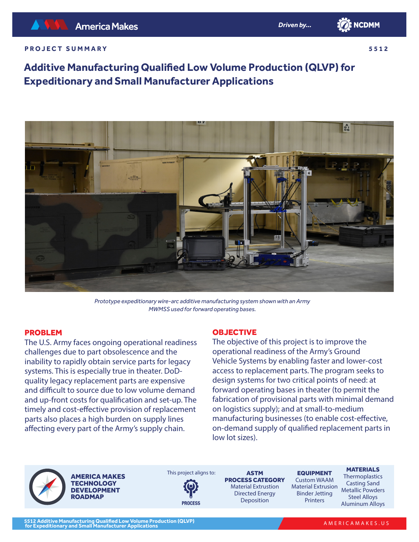

#### **PROJECT SUMMARY**

**5512**

# **Additive Manufacturing Qualified Low Volume Production (QLVP) for Expeditionary and Small Manufacturer Applications**



*Prototype expeditionary wire-arc additive manufacturing system shown with an Army MWMSS used for forward operating bases.*

### PROBLEM

The U.S. Army faces ongoing operational readiness challenges due to part obsolescence and the inability to rapidly obtain service parts for legacy systems. This is especially true in theater. DoDquality legacy replacement parts are expensive and difficult to source due to low volume demand and up-front costs for qualification and set-up. The timely and cost-effective provision of replacement parts also places a high burden on supply lines affecting every part of the Army's supply chain.

### **OBJECTIVE**

The objective of this project is to improve the operational readiness of the Army's Ground Vehicle Systems by enabling faster and lower-cost access to replacement parts. The program seeks to design systems for two critical points of need: at forward operating bases in theater (to permit the fabrication of provisional parts with minimal demand on logistics supply); and at small-to-medium manufacturing businesses (to enable cost-effective, on-demand supply of qualified replacement parts in low lot sizes).

AMERICA MAKES **TECHNOLOGY** DEVELOPMENT **ROADMAP** 

This project aligns to:



ASTM PROCESS CATEGORY Material Extrustion Directed Energy Deposition

EQUIPMENT Custom WAAM Material Extrusion Binder Jetting Printers

**MATERIALS Thermoplastics** 

Casting Sand Metallic Powders Steel Alloys Aluminum Alloys